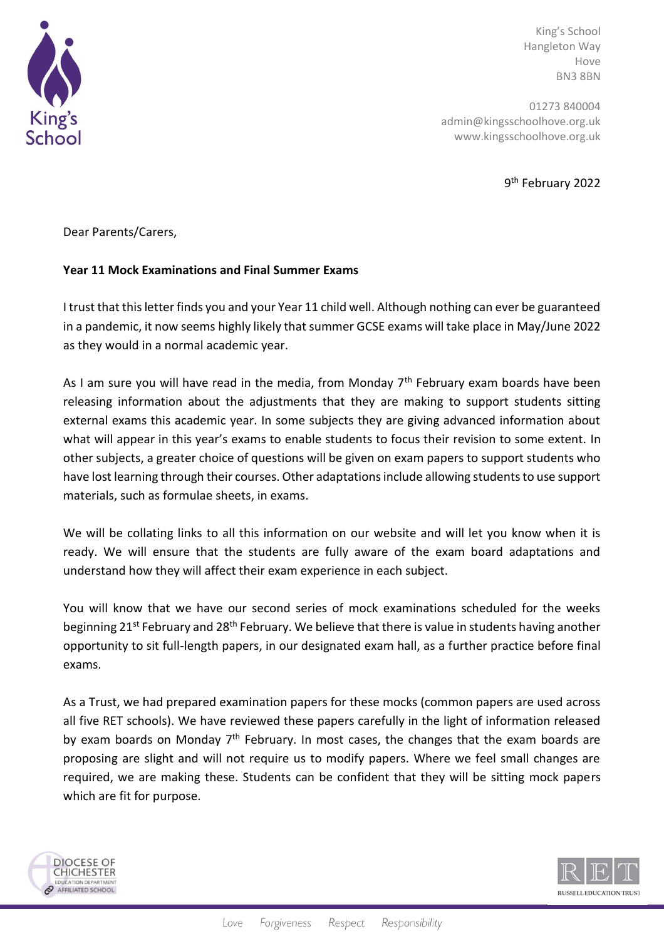

King's School Hangleton Way Hove BN3 8BN

01273 840004 admin@kingsschoolhove.org.uk www.kingsschoolhove.org.uk

9<sup>th</sup> February 2022

Dear Parents/Carers,

## **Year 11 Mock Examinations and Final Summer Exams**

I trust that this letter finds you and your Year 11 child well. Although nothing can ever be guaranteed in a pandemic, it now seems highly likely that summer GCSE exams will take place in May/June 2022 as they would in a normal academic year.

As I am sure you will have read in the media, from Monday  $7<sup>th</sup>$  February exam boards have been releasing information about the adjustments that they are making to support students sitting external exams this academic year. In some subjects they are giving advanced information about what will appear in this year's exams to enable students to focus their revision to some extent. In other subjects, a greater choice of questions will be given on exam papers to support students who have lost learning through their courses. Other adaptations include allowing students to use support materials, such as formulae sheets, in exams.

We will be collating links to all this information on our website and will let you know when it is ready. We will ensure that the students are fully aware of the exam board adaptations and understand how they will affect their exam experience in each subject.

You will know that we have our second series of mock examinations scheduled for the weeks beginning 21<sup>st</sup> February and 28<sup>th</sup> February. We believe that there is value in students having another opportunity to sit full-length papers, in our designated exam hall, as a further practice before final exams.

As a Trust, we had prepared examination papers for these mocks (common papers are used across all five RET schools). We have reviewed these papers carefully in the light of information released by exam boards on Monday  $7<sup>th</sup>$  February. In most cases, the changes that the exam boards are proposing are slight and will not require us to modify papers. Where we feel small changes are required, we are making these. Students can be confident that they will be sitting mock papers which are fit for purpose.